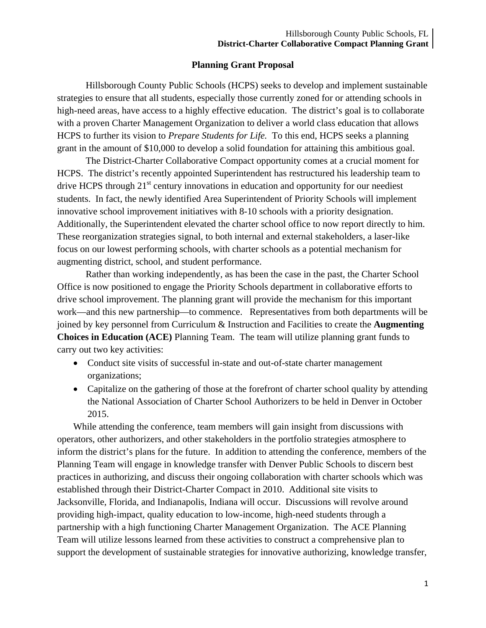## **Planning Grant Proposal**

Hillsborough County Public Schools (HCPS) seeks to develop and implement sustainable strategies to ensure that all students, especially those currently zoned for or attending schools in high-need areas, have access to a highly effective education. The district's goal is to collaborate with a proven Charter Management Organization to deliver a world class education that allows HCPS to further its vision to *Prepare Students for Life.* To this end, HCPS seeks a planning grant in the amount of \$10,000 to develop a solid foundation for attaining this ambitious goal.

 Additionally, the Superintendent elevated the charter school office to now report directly to him. These reorganization strategies signal, to both internal and external stakeholders, a laser-like The District-Charter Collaborative Compact opportunity comes at a crucial moment for HCPS. The district's recently appointed Superintendent has restructured his leadership team to drive HCPS through  $21<sup>st</sup>$  century innovations in education and opportunity for our neediest students. In fact, the newly identified Area Superintendent of Priority Schools will implement innovative school improvement initiatives with 8-10 schools with a priority designation. focus on our lowest performing schools, with charter schools as a potential mechanism for augmenting district, school, and student performance.

Rather than working independently, as has been the case in the past, the Charter School Office is now positioned to engage the Priority Schools department in collaborative efforts to drive school improvement. The planning grant will provide the mechanism for this important work—and this new partnership—to commence. Representatives from both departments will be joined by key personnel from Curriculum & Instruction and Facilities to create the **Augmenting Choices in Education (ACE)** Planning Team. The team will utilize planning grant funds to carry out two key activities:

- Conduct site visits of successful in-state and out-of-state charter management organizations;
- Capitalize on the gathering of those at the forefront of charter school quality by attending the National Association of Charter School Authorizers to be held in Denver in October 2015.

While attending the conference, team members will gain insight from discussions with operators, other authorizers, and other stakeholders in the portfolio strategies atmosphere to inform the district's plans for the future. In addition to attending the conference, members of the Planning Team will engage in knowledge transfer with Denver Public Schools to discern best practices in authorizing, and discuss their ongoing collaboration with charter schools which was established through their District-Charter Compact in 2010. Additional site visits to Jacksonville, Florida, and Indianapolis, Indiana will occur. Discussions will revolve around providing high-impact, quality education to low-income, high-need students through a partnership with a high functioning Charter Management Organization. The ACE Planning Team will utilize lessons learned from these activities to construct a comprehensive plan to support the development of sustainable strategies for innovative authorizing, knowledge transfer,